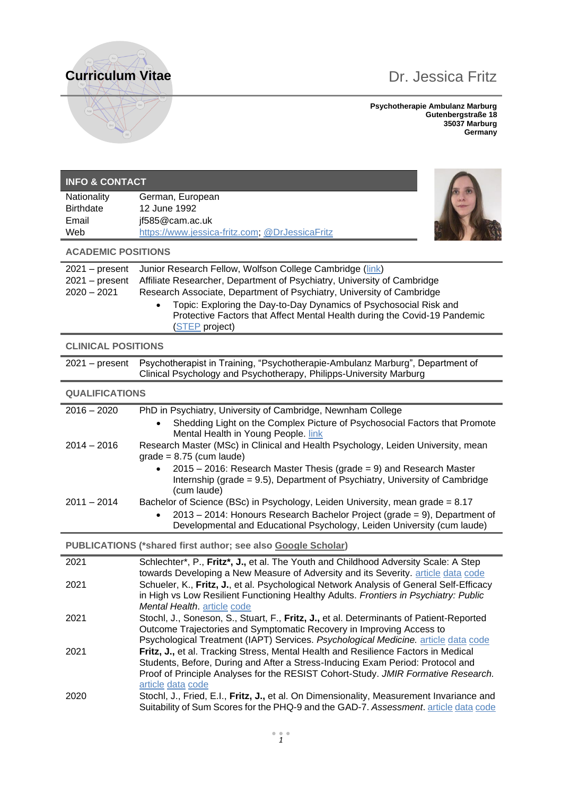# **Curriculum Vitae** Dr. Jessica Fritz



**Psychotherapie Ambulanz Marburg Gutenbergstraße 18 35037 Marburg Germany**

| <b>INFO &amp; CONTACT</b>         |                                                                                                                                                                                  |
|-----------------------------------|----------------------------------------------------------------------------------------------------------------------------------------------------------------------------------|
| Nationality<br><b>Birthdate</b>   | German, European<br>12 June 1992                                                                                                                                                 |
| Email                             | jf585@cam.ac.uk                                                                                                                                                                  |
| Web                               | https://www.jessica-fritz.com, @DrJessicaFritz                                                                                                                                   |
| <b>ACADEMIC POSITIONS</b>         |                                                                                                                                                                                  |
| $2021 - present$                  | Junior Research Fellow, Wolfson College Cambridge (link)                                                                                                                         |
| $2021 - present$<br>$2020 - 2021$ | Affiliate Researcher, Department of Psychiatry, University of Cambridge<br>Research Associate, Department of Psychiatry, University of Cambridge                                 |
|                                   | Topic: Exploring the Day-to-Day Dynamics of Psychosocial Risk and                                                                                                                |
|                                   | Protective Factors that Affect Mental Health during the Covid-19 Pandemic<br>(STEP project)                                                                                      |
| <b>CLINICAL POSITIONS</b>         |                                                                                                                                                                                  |
| $2021 - present$                  | Psychotherapist in Training, "Psychotherapie-Ambulanz Marburg", Department of<br>Clinical Psychology and Psychotherapy, Philipps-University Marburg                              |
| <b>QUALIFICATIONS</b>             |                                                                                                                                                                                  |
| $2016 - 2020$                     | PhD in Psychiatry, University of Cambridge, Newnham College                                                                                                                      |
|                                   | Shedding Light on the Complex Picture of Psychosocial Factors that Promote<br>$\bullet$<br>Mental Health in Young People. link                                                   |
| $2014 - 2016$                     | Research Master (MSc) in Clinical and Health Psychology, Leiden University, mean<br>$grade = 8.75$ (cum laude)                                                                   |
|                                   | $2015 - 2016$ : Research Master Thesis (grade = 9) and Research Master<br>Internship (grade = 9.5), Department of Psychiatry, University of Cambridge<br>(cum laude)             |
| $2011 - 2014$                     | Bachelor of Science (BSc) in Psychology, Leiden University, mean grade = 8.17                                                                                                    |
|                                   | 2013 - 2014: Honours Research Bachelor Project (grade = 9), Department of<br>Developmental and Educational Psychology, Leiden University (cum laude)                             |
|                                   | PUBLICATIONS (*shared first author; see also Google Scholar)                                                                                                                     |
| 2021                              | Schlechter*, P., Fritz*, J., et al. The Youth and Childhood Adversity Scale: A Step                                                                                              |
| 2021                              | towards Developing a New Measure of Adversity and its Severity. article data code<br>Schueler, K., Fritz, J., et al. Psychological Network Analysis of General Self-Efficacy     |
|                                   | in High vs Low Resilient Functioning Healthy Adults. Frontiers in Psychiatry: Public<br>Mental Health. article code                                                              |
| 2021                              | Stochl, J., Soneson, S., Stuart, F., Fritz, J., et al. Determinants of Patient-Reported                                                                                          |
|                                   | Outcome Trajectories and Symptomatic Recovery in Improving Access to<br>Psychological Treatment (IAPT) Services. Psychological Medicine. article data code                       |
| 2021                              | Fritz, J., et al. Tracking Stress, Mental Health and Resilience Factors in Medical                                                                                               |
|                                   | Students, Before, During and After a Stress-Inducing Exam Period: Protocol and<br>Proof of Principle Analyses for the RESIST Cohort-Study. JMIR Formative Research.              |
|                                   | article data code                                                                                                                                                                |
| 2020                              | Stochl, J., Fried, E.I., Fritz, J., et al. On Dimensionality, Measurement Invariance and<br>Suitability of Sum Scores for the PHQ-9 and the GAD-7. Assessment. article data code |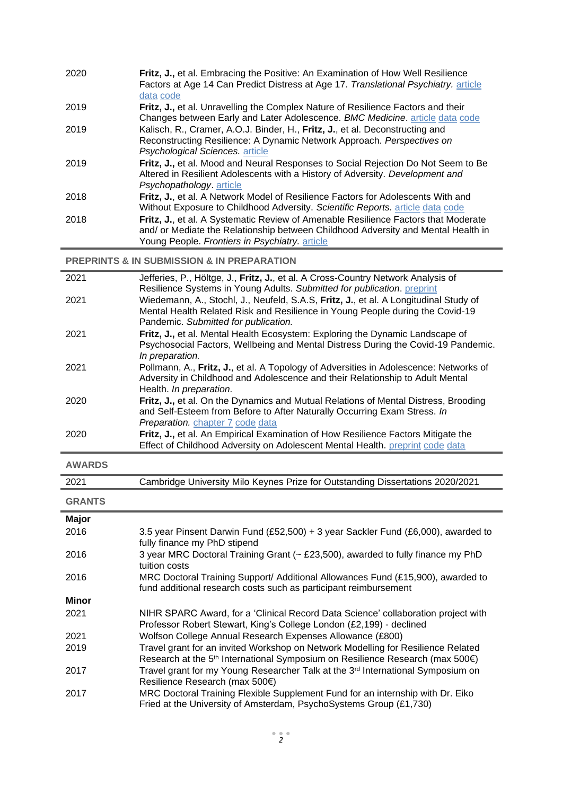| 2020 | Fritz, J., et al. Embracing the Positive: An Examination of How Well Resilience<br>Factors at Age 14 Can Predict Distress at Age 17. Translational Psychiatry. article<br>data code                                       |
|------|---------------------------------------------------------------------------------------------------------------------------------------------------------------------------------------------------------------------------|
| 2019 | Fritz, J., et al. Unravelling the Complex Nature of Resilience Factors and their<br>Changes between Early and Later Adolescence. BMC Medicine. article data code                                                          |
| 2019 | Kalisch, R., Cramer, A.O.J. Binder, H., Fritz, J., et al. Deconstructing and<br>Reconstructing Resilience: A Dynamic Network Approach. Perspectives on<br>Psychological Sciences. article                                 |
| 2019 | Fritz, J., et al. Mood and Neural Responses to Social Rejection Do Not Seem to Be<br>Altered in Resilient Adolescents with a History of Adversity. Development and<br>Psychopathology. article                            |
| 2018 | Fritz, J., et al. A Network Model of Resilience Factors for Adolescents With and<br>Without Exposure to Childhood Adversity. Scientific Reports. article data code                                                        |
| 2018 | Fritz, J., et al. A Systematic Review of Amenable Resilience Factors that Moderate<br>and/ or Mediate the Relationship between Childhood Adversity and Mental Health in<br>Young People. Frontiers in Psychiatry, article |

**PREPRINTS & IN SUBMISSION & IN PREPARATION**

| 2021 | Jefferies, P., Höltge, J., Fritz, J., et al. A Cross-Country Network Analysis of<br>Resilience Systems in Young Adults. Submitted for publication. preprint                                                   |
|------|---------------------------------------------------------------------------------------------------------------------------------------------------------------------------------------------------------------|
| 2021 | Wiedemann, A., Stochl, J., Neufeld, S.A.S, Fritz, J., et al. A Longitudinal Study of<br>Mental Health Related Risk and Resilience in Young People during the Covid-19<br>Pandemic. Submitted for publication. |
| 2021 | Fritz, J., et al. Mental Health Ecosystem: Exploring the Dynamic Landscape of<br>Psychosocial Factors, Wellbeing and Mental Distress During the Covid-19 Pandemic.<br>In preparation.                         |
| 2021 | Pollmann, A., Fritz, J., et al. A Topology of Adversities in Adolescence: Networks of<br>Adversity in Childhood and Adolescence and their Relationship to Adult Mental<br>Health. In preparation.             |
| 2020 | Fritz, J., et al. On the Dynamics and Mutual Relations of Mental Distress, Brooding<br>and Self-Esteem from Before to After Naturally Occurring Exam Stress. In<br>Preparation. chapter 7 code data           |
| 2020 | Fritz, J., et al. An Empirical Examination of How Resilience Factors Mitigate the<br>Effect of Childhood Adversity on Adolescent Mental Health. preprint code data                                            |

| <b>AWARDS</b> |                                                                                                                                                                               |
|---------------|-------------------------------------------------------------------------------------------------------------------------------------------------------------------------------|
| 2021          | Cambridge University Milo Keynes Prize for Outstanding Dissertations 2020/2021                                                                                                |
| <b>GRANTS</b> |                                                                                                                                                                               |
| <b>Major</b>  |                                                                                                                                                                               |
| 2016          | 3.5 year Pinsent Darwin Fund (£52,500) + 3 year Sackler Fund (£6,000), awarded to<br>fully finance my PhD stipend                                                             |
| 2016          | 3 year MRC Doctoral Training Grant (~ £23,500), awarded to fully finance my PhD<br>tuition costs                                                                              |
| 2016          | MRC Doctoral Training Support/ Additional Allowances Fund (£15,900), awarded to<br>fund additional research costs such as participant reimbursement                           |
| <b>Minor</b>  |                                                                                                                                                                               |
| 2021          | NIHR SPARC Award, for a 'Clinical Record Data Science' collaboration project with<br>Professor Robert Stewart, King's College London (£2,199) - declined                      |
| 2021          | Wolfson College Annual Research Expenses Allowance (£800)                                                                                                                     |
| 2019          | Travel grant for an invited Workshop on Network Modelling for Resilience Related<br>Research at the 5 <sup>th</sup> International Symposium on Resilience Research (max 500€) |
| 2017          | Travel grant for my Young Researcher Talk at the 3 <sup>rd</sup> International Symposium on<br>Resilience Research (max 500€)                                                 |
| 2017          | MRC Doctoral Training Flexible Supplement Fund for an internship with Dr. Eiko                                                                                                |

Fried at the University of Amsterdam, PsychoSystems Group (£1,730)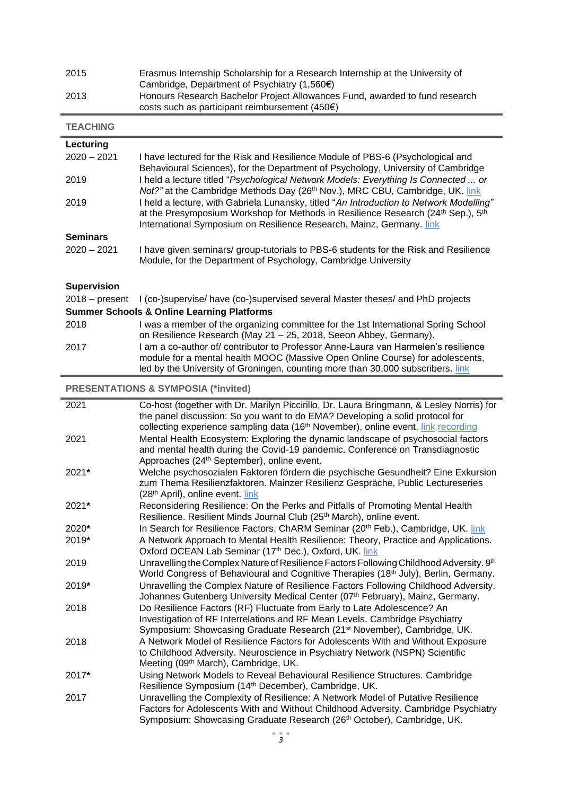| 2015 | Erasmus Internship Scholarship for a Research Internship at the University of<br>Cambridge, Department of Psychiatry $(1,560)$           |
|------|------------------------------------------------------------------------------------------------------------------------------------------|
| 2013 | Honours Research Bachelor Project Allowances Fund, awarded to fund research<br>costs such as participant reimbursement (450 $\epsilon$ ) |

**TEACHING**

| Lecturing                                      |                                                                                                                                                                                                                                                                             |  |
|------------------------------------------------|-----------------------------------------------------------------------------------------------------------------------------------------------------------------------------------------------------------------------------------------------------------------------------|--|
| $2020 - 2021$                                  | I have lectured for the Risk and Resilience Module of PBS-6 (Psychological and<br>Behavioural Sciences), for the Department of Psychology, University of Cambridge                                                                                                          |  |
| 2019                                           | I held a lecture titled "Psychological Network Models: Everything Is Connected  or<br>Not?" at the Cambridge Methods Day (26 <sup>th</sup> Nov.), MRC CBU, Cambridge, UK. link                                                                                              |  |
| 2019                                           | I held a lecture, with Gabriela Lunansky, titled "An Introduction to Network Modelling"<br>at the Presymposium Workshop for Methods in Resilience Research (24 <sup>th</sup> Sep.), 5 <sup>th</sup><br>International Symposium on Resilience Research, Mainz, Germany. link |  |
| <b>Seminars</b>                                |                                                                                                                                                                                                                                                                             |  |
| $2020 - 2021$                                  | I have given seminars/ group-tutorials to PBS-6 students for the Risk and Resilience<br>Module, for the Department of Psychology, Cambridge University                                                                                                                      |  |
| <b>Supervision</b>                             |                                                                                                                                                                                                                                                                             |  |
| $2018 - present$                               | I (co-)supervise/ have (co-)supervised several Master theses/ and PhD projects                                                                                                                                                                                              |  |
|                                                | <b>Summer Schools &amp; Online Learning Platforms</b>                                                                                                                                                                                                                       |  |
| 2018                                           | I was a member of the organizing committee for the 1st International Spring School<br>on Resilience Research (May 21 - 25, 2018, Seeon Abbey, Germany).                                                                                                                     |  |
| 2017                                           | I am a co-author of/ contributor to Professor Anne-Laura van Harmelen's resilience<br>module for a mental health MOOC (Massive Open Online Course) for adolescents,<br>led by the University of Groningen, counting more than 30,000 subscribers. link                      |  |
| <b>PRESENTATIONS &amp; SYMPOSIA (*invited)</b> |                                                                                                                                                                                                                                                                             |  |
| 2021                                           | Co-host (together with Dr. Marilyn Piccirillo, Dr. Laura Bringmann, & Lesley Norris) for<br>the panel discussion: So you want to do EMA? Developing a solid protocol for<br>collecting experience sampling data (16 <sup>th</sup> November), online event. link recording   |  |
| 2021                                           | Mental Health Ecosystem: Exploring the dynamic landscape of psychosocial factors<br>and mental health during the Covid-19 pandemic. Conference on Transdiagnostic<br>Approaches (24 <sup>th</sup> September), online event.                                                 |  |
| $2021*$                                        | Welche nsychosozialen Faktoren fördern die nsychische Gesundheit? Eine Exkursion                                                                                                                                                                                            |  |

| 2021* | Welche psychosozialen Faktoren fördern die psychische Gesundheit? Eine Exkursion |
|-------|----------------------------------------------------------------------------------|
|       | zum Thema Resilienzfaktoren. Mainzer Resilienz Gespräche, Public Lectureseries   |
|       | $(28th$ April), online event. link                                               |

| 2021* | Reconsidering Resilience: On the Perks and Pitfalls of Promoting Mental Health   |
|-------|----------------------------------------------------------------------------------|
|       | Resilience. Resilient Minds Journal Club (25 <sup>th</sup> March), online event. |

| $2020*$ | In Search for Resilience Factors. ChARM Seminar (20 <sup>th</sup> Feb.), Cambridge, UK. link |
|---------|----------------------------------------------------------------------------------------------|
| $2019*$ | A Network Approach to Mental Health Resilience: Theory, Practice and Applications.           |
|         | Oxford OCEAN Lab Seminar (17th Dec.), Oxford, UK. link                                       |

2019  $\,$  Unravelling the Complex Nature of Resilience Factors Following Childhood Adversity.  $9^{\rm th}$ World Congress of Behavioural and Cognitive Therapies (18<sup>th</sup> July), Berlin, Germany.

- 2019**\*** Unravelling the Complex Nature of Resilience Factors Following Childhood Adversity. Johannes Gutenberg University Medical Center (07<sup>th</sup> February), Mainz, Germany.
- 2018 Do Resilience Factors (RF) Fluctuate from Early to Late Adolescence? An Investigation of RF Interrelations and RF Mean Levels. Cambridge Psychiatry Symposium: Showcasing Graduate Research (21st November), Cambridge, UK. 2018 A Network Model of Resilience Factors for Adolescents With and Without Exposure
- to Childhood Adversity. Neuroscience in Psychiatry Network (NSPN) Scientific Meeting (09<sup>th</sup> March), Cambridge, UK.
- 2017**\*** Using Network Models to Reveal Behavioural Resilience Structures. Cambridge Resilience Symposium (14th December), Cambridge, UK.
- 2017 Unravelling the Complexity of Resilience: A Network Model of Putative Resilience Factors for Adolescents With and Without Childhood Adversity. Cambridge Psychiatry Symposium: Showcasing Graduate Research (26<sup>th</sup> October), Cambridge, UK.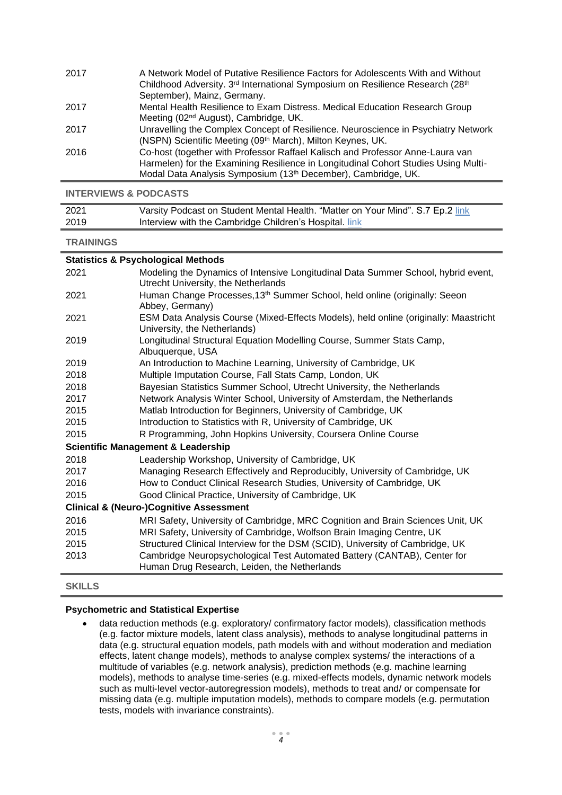| 2017 | A Network Model of Putative Resilience Factors for Adolescents With and Without                         |
|------|---------------------------------------------------------------------------------------------------------|
|      | Childhood Adversity. 3 <sup>rd</sup> International Symposium on Resilience Research (28 <sup>th</sup> ) |
|      | September), Mainz, Germany.                                                                             |
| 2017 | Mental Health Resilience to Exam Distress. Medical Education Research Group                             |
|      | Meeting (02 <sup>nd</sup> August), Cambridge, UK.                                                       |
| 2017 | Unravelling the Complex Concept of Resilience. Neuroscience in Psychiatry Network                       |
|      | (NSPN) Scientific Meeting (09 <sup>th</sup> March), Milton Keynes, UK.                                  |
| 2016 | Co-host (together with Professor Raffael Kalisch and Professor Anne-Laura van                           |
|      | Harmelen) for the Examining Resilience in Longitudinal Cohort Studies Using Multi-                      |
|      | Modal Data Analysis Symposium (13 <sup>th</sup> December), Cambridge, UK.                               |

**INTERVIEWS & PODCASTS**

| 2021 | Varsity Podcast on Student Mental Health. "Matter on Your Mind". S.7 Ep.2 link |
|------|--------------------------------------------------------------------------------|
| 2019 | Interview with the Cambridge Children's Hospital. link                         |

#### **TRAININGS**

| <b>Statistics &amp; Psychological Methods</b>      |                                                                                                                          |  |
|----------------------------------------------------|--------------------------------------------------------------------------------------------------------------------------|--|
| 2021                                               | Modeling the Dynamics of Intensive Longitudinal Data Summer School, hybrid event,<br>Utrecht University, the Netherlands |  |
| 2021                                               | Human Change Processes, 13th Summer School, held online (originally: Seeon<br>Abbey, Germany)                            |  |
| 2021                                               | ESM Data Analysis Course (Mixed-Effects Models), held online (originally: Maastricht<br>University, the Netherlands)     |  |
| 2019                                               | Longitudinal Structural Equation Modelling Course, Summer Stats Camp,<br>Albuquerque, USA                                |  |
| 2019                                               | An Introduction to Machine Learning, University of Cambridge, UK                                                         |  |
| 2018                                               | Multiple Imputation Course, Fall Stats Camp, London, UK                                                                  |  |
| 2018                                               | Bayesian Statistics Summer School, Utrecht University, the Netherlands                                                   |  |
| 2017                                               | Network Analysis Winter School, University of Amsterdam, the Netherlands                                                 |  |
| 2015                                               | Matlab Introduction for Beginners, University of Cambridge, UK                                                           |  |
| 2015                                               | Introduction to Statistics with R, University of Cambridge, UK                                                           |  |
| 2015                                               | R Programming, John Hopkins University, Coursera Online Course                                                           |  |
|                                                    | <b>Scientific Management &amp; Leadership</b>                                                                            |  |
| 2018                                               | Leadership Workshop, University of Cambridge, UK                                                                         |  |
| 2017                                               | Managing Research Effectively and Reproducibly, University of Cambridge, UK                                              |  |
| 2016                                               | How to Conduct Clinical Research Studies, University of Cambridge, UK                                                    |  |
| 2015                                               | Good Clinical Practice, University of Cambridge, UK                                                                      |  |
| <b>Clinical &amp; (Neuro-)Cognitive Assessment</b> |                                                                                                                          |  |
| 2016                                               | MRI Safety, University of Cambridge, MRC Cognition and Brain Sciences Unit, UK                                           |  |
| 2015                                               | MRI Safety, University of Cambridge, Wolfson Brain Imaging Centre, UK                                                    |  |
| 2015                                               | Structured Clinical Interview for the DSM (SCID), University of Cambridge, UK                                            |  |
| 2013                                               | Cambridge Neuropsychological Test Automated Battery (CANTAB), Center for<br>Human Drug Research, Leiden, the Netherlands |  |

**SKILLS**

#### **Psychometric and Statistical Expertise**

• data reduction methods (e.g. exploratory/ confirmatory factor models), classification methods (e.g. factor mixture models, latent class analysis), methods to analyse longitudinal patterns in data (e.g. structural equation models, path models with and without moderation and mediation effects, latent change models), methods to analyse complex systems/ the interactions of a multitude of variables (e.g. network analysis), prediction methods (e.g. machine learning models), methods to analyse time-series (e.g. mixed-effects models, dynamic network models such as multi-level vector-autoregression models), methods to treat and/ or compensate for missing data (e.g. multiple imputation models), methods to compare models (e.g. permutation tests, models with invariance constraints).